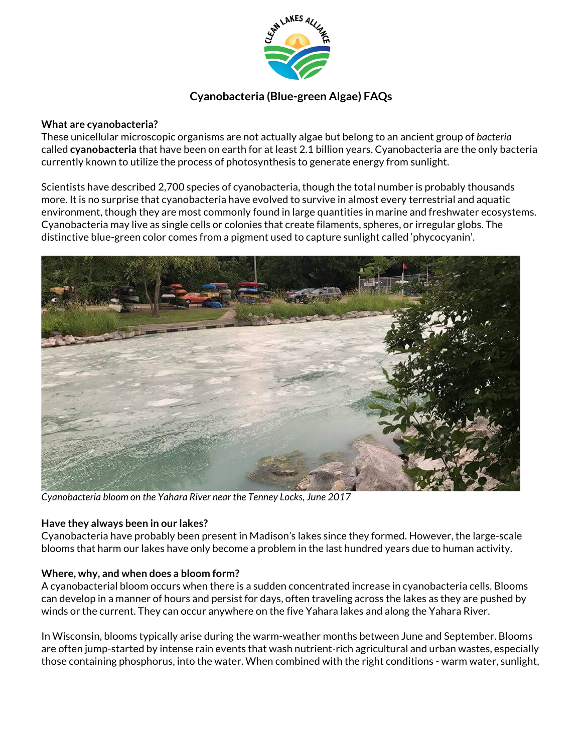

# **Cyanobacteria (Blue-green Algae) FAQs**

#### **What are cyanobacteria?**

These unicellular microscopic organisms are not actually algae but belong to an ancient group of *bacteria*  called **cyanobacteria** that have been on earth for at least 2.1 billion years. Cyanobacteria are the only bacteria currently known to utilize the process of photosynthesis to generate energy from sunlight.

Scientists have described 2,700 species of cyanobacteria, though the total number is probably thousands more. It is no surprise that cyanobacteria have evolved to survive in almost every terrestrial and aquatic environment, though they are most commonly found in large quantities in marine and freshwater ecosystems. Cyanobacteria may live as single cells or colonies that create filaments, spheres, or irregular globs. The distinctive blue-green color comes from a pigment used to capture sunlight called 'phycocyanin'.



*Cyanobacteria bloom on the Yahara River near the Tenney Locks, June 2017*

#### **Have they always been in our lakes?**

Cyanobacteria have probably been present in Madison's lakes since they formed. However, the large-scale blooms that harm our lakes have only become a problem in the last hundred years due to human activity.

## **Where, why, and when does a bloom form?**

A cyanobacterial bloom occurs when there is a sudden concentrated increase in cyanobacteria cells. Blooms can develop in a manner of hours and persist for days, often traveling across the lakes as they are pushed by winds or the current. They can occur anywhere on the five Yahara lakes and along the Yahara River.

In Wisconsin, blooms typically arise during the warm-weather months between June and September. Blooms are often jump-started by intense rain events that wash nutrient-rich agricultural and urban wastes, especially those containing phosphorus, into the water. When combined with the right conditions - warm water, sunlight,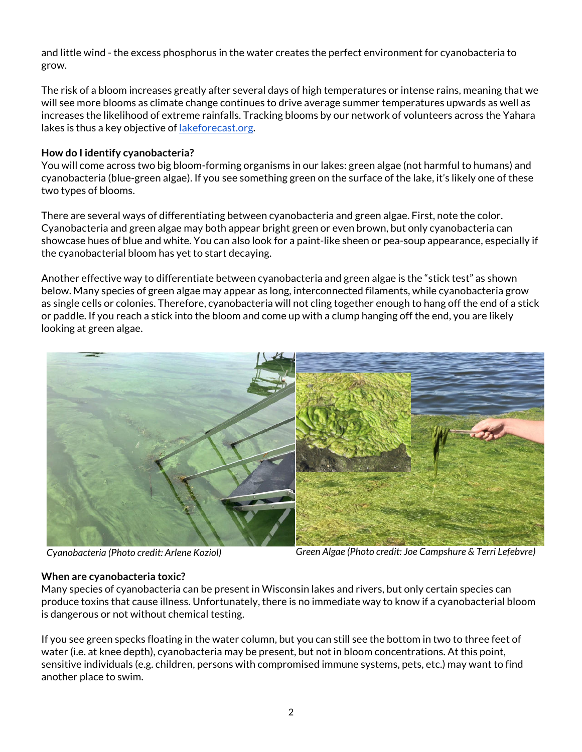and little wind - the excess phosphorus in the water creates the perfect environment for cyanobacteria to grow.

The risk of a bloom increases greatly after several days of high temperatures or intense rains, meaning that we will see more blooms as climate change continues to drive average summer temperatures upwards as well as increases the likelihood of extreme rainfalls. Tracking blooms by our network of volunteers across the Yahara lakes is thus a key objective of lakeforecast.org.

#### **How do I identify cyanobacteria?**

You will come across two big bloom-forming organisms in our lakes: green algae (not harmful to humans) and cyanobacteria (blue-green algae). If you see something green on the surface of the lake, it's likely one of these two types of blooms.

There are several ways of differentiating between cyanobacteria and green algae. First, note the color. Cyanobacteria and green algae may both appear bright green or even brown, but only cyanobacteria can showcase hues of blue and white. You can also look for a paint-like sheen or pea-soup appearance, especially if the cyanobacterial bloom has yet to start decaying.

Another effective way to differentiate between cyanobacteria and green algae is the "stick test" as shown below. Many species of green algae may appear as long, interconnected filaments, while cyanobacteria grow as single cells or colonies. Therefore, cyanobacteria will not cling together enough to hang off the end of a stick or paddle. If you reach a stick into the bloom and come up with a clump hanging off the end, you are likely looking at green algae.



*Cyanobacteria (Photo credit: Arlene Koziol) Green Algae (Photo credit: Joe Campshure & Terri Lefebvre)*

#### **When are cyanobacteria toxic?**

Many species of cyanobacteria can be present in Wisconsin lakes and rivers, but only certain species can produce toxins that cause illness. Unfortunately, there is no immediate way to know if a cyanobacterial bloom is dangerous or not without chemical testing.

If you see green specks floating in the water column, but you can still see the bottom in two to three feet of water (i.e. at knee depth), cyanobacteria may be present, but not in bloom concentrations. At this point, sensitive individuals (e.g. children, persons with compromised immune systems, pets, etc.) may want to find another place to swim.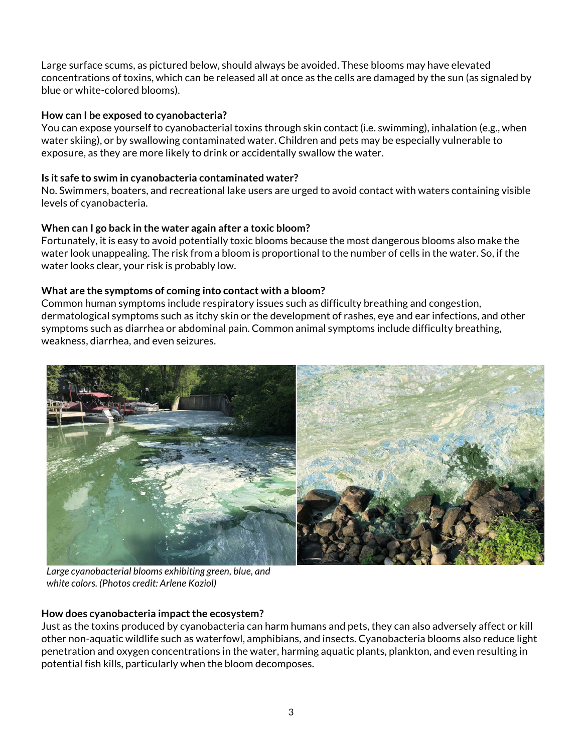Large surface scums, as pictured below, should always be avoided. These blooms may have elevated concentrations of toxins, which can be released all at once as the cells are damaged by the sun (as signaled by blue or white-colored blooms).

## **How can I be exposed to cyanobacteria?**

You can expose yourself to cyanobacterial toxins through skin contact (i.e. swimming), inhalation (e.g., when water skiing), or by swallowing contaminated water. Children and pets may be especially vulnerable to exposure, as they are more likely to drink or accidentally swallow the water.

## **Is it safe to swim in cyanobacteria contaminated water?**

No. Swimmers, boaters, and recreational lake users are urged to avoid contact with waters containing visible levels of cyanobacteria.

## **When can I go back in the water again after a toxic bloom?**

Fortunately, it is easy to avoid potentially toxic blooms because the most dangerous blooms also make the water look unappealing. The risk from a bloom is proportional to the number of cells in the water. So, if the water looks clear, your risk is probably low.

## **What are the symptoms of coming into contact with a bloom?**

Common human symptoms include respiratory issues such as difficulty breathing and congestion, dermatological symptoms such as itchy skin or the development of rashes, eye and ear infections, and other symptoms such as diarrhea or abdominal pain. Common animal symptoms include difficulty breathing, weakness, diarrhea, and even seizures.



*Large cyanobacterial blooms exhibiting green, blue, and white colors. (Photos credit: Arlene Koziol)*

#### **How does cyanobacteria impact the ecosystem?**

Just as the toxins produced by cyanobacteria can harm humans and pets, they can also adversely affect or kill other non-aquatic wildlife such as waterfowl, amphibians, and insects. Cyanobacteria blooms also reduce light penetration and oxygen concentrations in the water, harming aquatic plants, plankton, and even resulting in potential fish kills, particularly when the bloom decomposes.